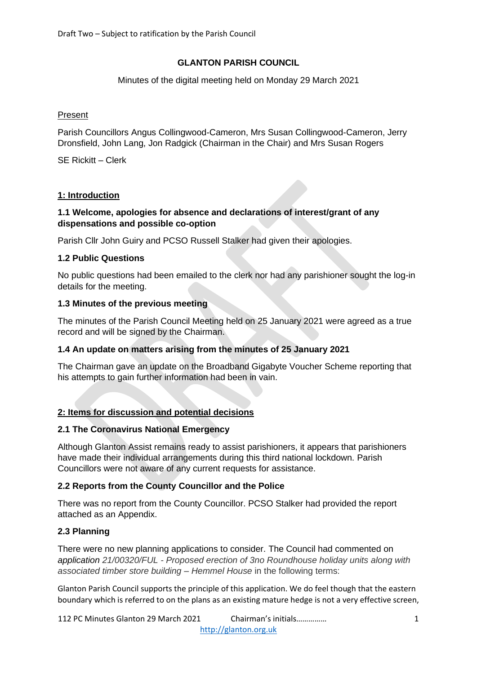# **GLANTON PARISH COUNCIL**

Minutes of the digital meeting held on Monday 29 March 2021

# Present

Parish Councillors Angus Collingwood-Cameron, Mrs Susan Collingwood-Cameron, Jerry Dronsfield, John Lang, Jon Radgick (Chairman in the Chair) and Mrs Susan Rogers

SE Rickitt – Clerk

# **1: Introduction**

# **1.1 Welcome, apologies for absence and declarations of interest/grant of any dispensations and possible co-option**

Parish Cllr John Guiry and PCSO Russell Stalker had given their apologies.

# **1.2 Public Questions**

No public questions had been emailed to the clerk nor had any parishioner sought the log-in details for the meeting.

# **1.3 Minutes of the previous meeting**

The minutes of the Parish Council Meeting held on 25 January 2021 were agreed as a true record and will be signed by the Chairman.

#### **1.4 An update on matters arising from the minutes of 25 January 2021**

The Chairman gave an update on the Broadband Gigabyte Voucher Scheme reporting that his attempts to gain further information had been in vain.

# **2: Items for discussion and potential decisions**

#### **2.1 The Coronavirus National Emergency**

Although Glanton Assist remains ready to assist parishioners, it appears that parishioners have made their individual arrangements during this third national lockdown. Parish Councillors were not aware of any current requests for assistance.

# **2.2 Reports from the County Councillor and the Police**

There was no report from the County Councillor. PCSO Stalker had provided the report attached as an Appendix.

# **2.3 Planning**

There were no new planning applications to consider. The Council had commented on *application 21/00320/FUL - Proposed erection of 3no Roundhouse holiday units along with associated timber store building – Hemmel House* in the following terms:

Glanton Parish Council supports the principle of this application. We do feel though that the eastern boundary which is referred to on the plans as an existing mature hedge is not a very effective screen,

112 PC Minutes Glanton 29 March 2021 Chairman's initials…………… 1 [http://glanton.org.uk](http://glanton.org.uk/)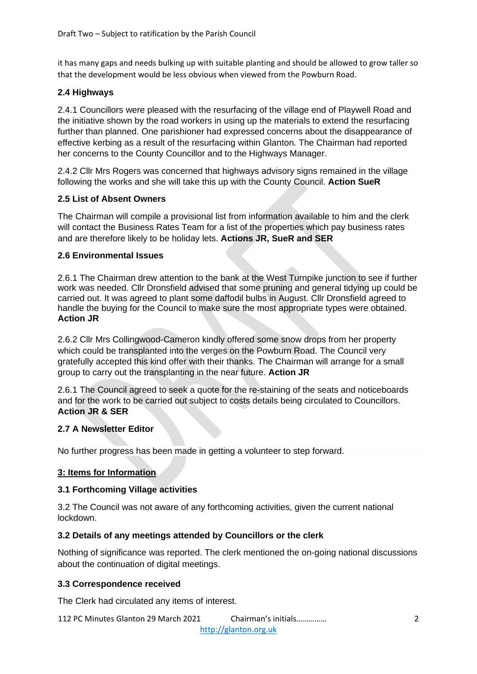it has many gaps and needs bulking up with suitable planting and should be allowed to grow taller so that the development would be less obvious when viewed from the Powburn Road.

# **2.4 Highways**

2.4.1 Councillors were pleased with the resurfacing of the village end of Playwell Road and the initiative shown by the road workers in using up the materials to extend the resurfacing further than planned. One parishioner had expressed concerns about the disappearance of effective kerbing as a result of the resurfacing within Glanton. The Chairman had reported her concerns to the County Councillor and to the Highways Manager.

2.4.2 Cllr Mrs Rogers was concerned that highways advisory signs remained in the village following the works and she will take this up with the County Council. **Action SueR**

# **2.5 List of Absent Owners**

The Chairman will compile a provisional list from information available to him and the clerk will contact the Business Rates Team for a list of the properties which pay business rates and are therefore likely to be holiday lets. **Actions JR, SueR and SER**

#### **2.6 Environmental Issues**

2.6.1 The Chairman drew attention to the bank at the West Turnpike junction to see if further work was needed. Cllr Dronsfield advised that some pruning and general tidying up could be carried out. It was agreed to plant some daffodil bulbs in August. Cllr Dronsfield agreed to handle the buying for the Council to make sure the most appropriate types were obtained. **Action JR**

2.6.2 Cllr Mrs Collingwood-Cameron kindly offered some snow drops from her property which could be transplanted into the verges on the Powburn Road. The Council very gratefully accepted this kind offer with their thanks. The Chairman will arrange for a small group to carry out the transplanting in the near future. **Action JR**

2.6.1 The Council agreed to seek a quote for the re-staining of the seats and noticeboards and for the work to be carried out subject to costs details being circulated to Councillors. **Action JR & SER**

#### **2.7 A Newsletter Editor**

No further progress has been made in getting a volunteer to step forward.

#### **3: Items for Information**

#### **3.1 Forthcoming Village activities**

3.2 The Council was not aware of any forthcoming activities, given the current national lockdown.

#### **3.2 Details of any meetings attended by Councillors or the clerk**

Nothing of significance was reported. The clerk mentioned the on-going national discussions about the continuation of digital meetings.

# **3.3 Correspondence received**

The Clerk had circulated any items of interest.

112 PC Minutes Glanton 29 March 2021 Chairman's initials…………… 2 [http://glanton.org.uk](http://glanton.org.uk/)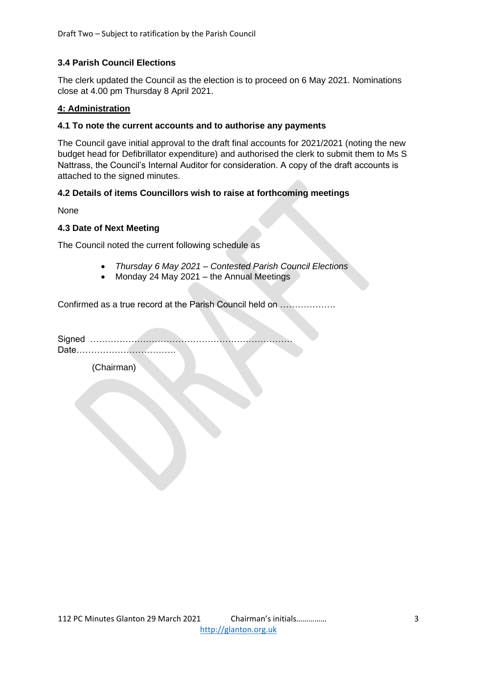# **3.4 Parish Council Elections**

The clerk updated the Council as the election is to proceed on 6 May 2021. Nominations close at 4.00 pm Thursday 8 April 2021.

#### **4: Administration**

#### **4.1 To note the current accounts and to authorise any payments**

The Council gave initial approval to the draft final accounts for 2021/2021 (noting the new budget head for Defibrillator expenditure) and authorised the clerk to submit them to Ms S Nattrass, the Council's Internal Auditor for consideration. A copy of the draft accounts is attached to the signed minutes.

# **4.2 Details of items Councillors wish to raise at forthcoming meetings**

None

#### **4.3 Date of Next Meeting**

The Council noted the current following schedule as

- *Thursday 6 May 2021 – Contested Parish Council Elections*
- Monday 24 May 2021 the Annual Meetings

Confirmed as a true record at the Parish Council held on ……………….

Signed …………………………………………………………… Date…………………………….

(Chairman)